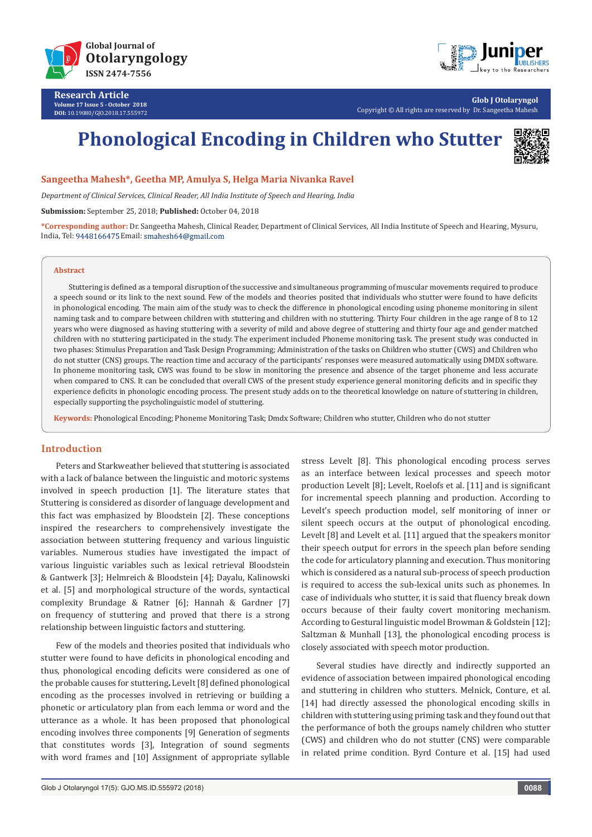

**Research Article Volume 17 Issue 5 - October 2018 DOI:** [10.19080/GJO.2018.17.555972](http://dx.doi.org/10.19080/GJO.2018.17.555972)



**Glob J Otolaryngol** Copyright © All rights are reserved by Dr. Sangeetha Mahesh

# **Phonological Encoding in Children who Stutter**



**Sangeetha Mahesh\*, Geetha MP, Amulya S, Helga Maria Nivanka Ravel**

*Department of Clinical Services, Clinical Reader, All India Institute of Speech and Hearing, India*

**Submission:** September 25, 2018; **Published:** October 04, 2018

**\*Corresponding author:** Dr. Sangeetha Mahesh, Clinical Reader, Department of Clinical Services, All India Institute of Speech and Hearing, Mysuru, India, Tel: 9448166475 Email: smahesh64@gmail.com

#### **Abstract**

Stuttering is defined as a temporal disruption of the successive and simultaneous programming of muscular movements required to produce a speech sound or its link to the next sound. Few of the models and theories posited that individuals who stutter were found to have deficits in phonological encoding. The main aim of the study was to check the difference in phonological encoding using phoneme monitoring in silent naming task and to compare between children with stuttering and children with no stuttering. Thirty Four children in the age range of 8 to 12 years who were diagnosed as having stuttering with a severity of mild and above degree of stuttering and thirty four age and gender matched children with no stuttering participated in the study. The experiment included Phoneme monitoring task. The present study was conducted in two phases: Stimulus Preparation and Task Design Programming; Administration of the tasks on Children who stutter (CWS) and Children who do not stutter (CNS) groups. The reaction time and accuracy of the participants' responses were measured automatically using DMDX software. In phoneme monitoring task, CWS was found to be slow in monitoring the presence and absence of the target phoneme and less accurate when compared to CNS. It can be concluded that overall CWS of the present study experience general monitoring deficits and in specific they experience deficits in phonologic encoding process. The present study adds on to the theoretical knowledge on nature of stuttering in children, especially supporting the psycholinguistic model of stuttering.

**Keywords:** Phonological Encoding; Phoneme Monitoring Task; Dmdx Software; Children who stutter, Children who do not stutter

### **Introduction**

Peters and Starkweather believed that stuttering is associated with a lack of balance between the linguistic and motoric systems involved in speech production [1]. The literature states that Stuttering is considered as disorder of language development and this fact was emphasized by Bloodstein [2]. These conceptions inspired the researchers to comprehensively investigate the association between stuttering frequency and various linguistic variables. Numerous studies have investigated the impact of various linguistic variables such as lexical retrieval Bloodstein & Gantwerk [3]; Helmreich & Bloodstein [4]; Dayalu, Kalinowski et al. [5] and morphological structure of the words, syntactical complexity Brundage & Ratner [6]; Hannah & Gardner [7] on frequency of stuttering and proved that there is a strong relationship between linguistic factors and stuttering.

Few of the models and theories posited that individuals who stutter were found to have deficits in phonological encoding and thus, phonological encoding deficits were considered as one of the probable causes for stuttering**.** Levelt [8] defined phonological encoding as the processes involved in retrieving or building a phonetic or articulatory plan from each lemma or word and the utterance as a whole. It has been proposed that phonological encoding involves three components [9] Generation of segments that constitutes words [3], Integration of sound segments with word frames and [10] Assignment of appropriate syllable

stress Levelt [8]. This phonological encoding process serves as an interface between lexical processes and speech motor production Levelt [8]; Levelt, Roelofs et al. [11] and is significant for incremental speech planning and production. According to Levelt's speech production model, self monitoring of inner or silent speech occurs at the output of phonological encoding. Levelt [8] and Levelt et al. [11] argued that the speakers monitor their speech output for errors in the speech plan before sending the code for articulatory planning and execution. Thus monitoring which is considered as a natural sub-process of speech production is required to access the sub-lexical units such as phonemes. In case of individuals who stutter, it is said that fluency break down occurs because of their faulty covert monitoring mechanism. According to Gestural linguistic model Browman & Goldstein [12]; Saltzman & Munhall [13], the phonological encoding process is closely associated with speech motor production.

Several studies have directly and indirectly supported an evidence of association between impaired phonological encoding and stuttering in children who stutters. Melnick, Conture, et al. [14] had directly assessed the phonological encoding skills in children with stuttering using priming task and they found out that the performance of both the groups namely children who stutter (CWS) and children who do not stutter (CNS) were comparable in related prime condition. Byrd Conture et al. [15] had used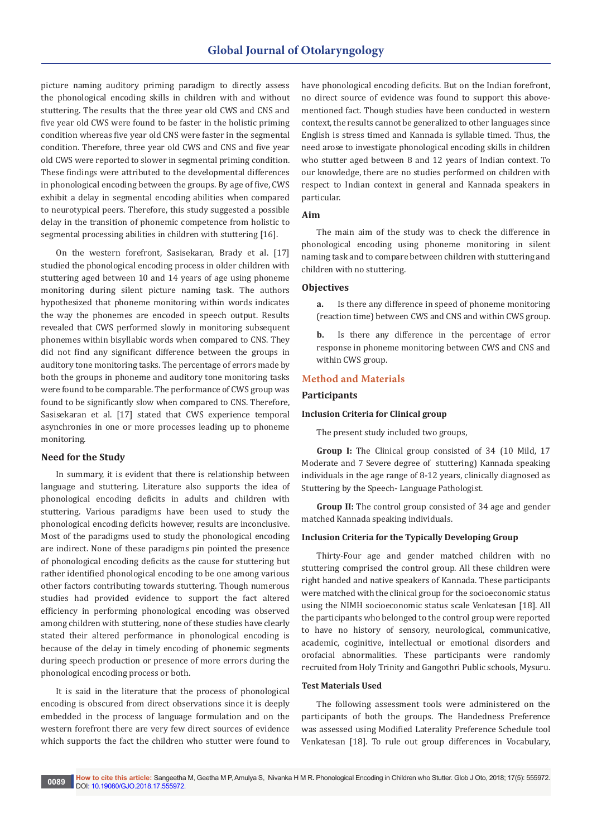picture naming auditory priming paradigm to directly assess the phonological encoding skills in children with and without stuttering. The results that the three year old CWS and CNS and five year old CWS were found to be faster in the holistic priming condition whereas five year old CNS were faster in the segmental condition. Therefore, three year old CWS and CNS and five year old CWS were reported to slower in segmental priming condition. These findings were attributed to the developmental differences in phonological encoding between the groups. By age of five, CWS exhibit a delay in segmental encoding abilities when compared to neurotypical peers. Therefore, this study suggested a possible delay in the transition of phonemic competence from holistic to segmental processing abilities in children with stuttering [16].

On the western forefront, Sasisekaran, Brady et al. [17] studied the phonological encoding process in older children with stuttering aged between 10 and 14 years of age using phoneme monitoring during silent picture naming task. The authors hypothesized that phoneme monitoring within words indicates the way the phonemes are encoded in speech output. Results revealed that CWS performed slowly in monitoring subsequent phonemes within bisyllabic words when compared to CNS. They did not find any significant difference between the groups in auditory tone monitoring tasks. The percentage of errors made by both the groups in phoneme and auditory tone monitoring tasks were found to be comparable. The performance of CWS group was found to be significantly slow when compared to CNS. Therefore, Sasisekaran et al. [17] stated that CWS experience temporal asynchronies in one or more processes leading up to phoneme monitoring.

# **Need for the Study**

In summary, it is evident that there is relationship between language and stuttering. Literature also supports the idea of phonological encoding deficits in adults and children with stuttering. Various paradigms have been used to study the phonological encoding deficits however, results are inconclusive. Most of the paradigms used to study the phonological encoding are indirect. None of these paradigms pin pointed the presence of phonological encoding deficits as the cause for stuttering but rather identified phonological encoding to be one among various other factors contributing towards stuttering. Though numerous studies had provided evidence to support the fact altered efficiency in performing phonological encoding was observed among children with stuttering, none of these studies have clearly stated their altered performance in phonological encoding is because of the delay in timely encoding of phonemic segments during speech production or presence of more errors during the phonological encoding process or both.

It is said in the literature that the process of phonological encoding is obscured from direct observations since it is deeply embedded in the process of language formulation and on the western forefront there are very few direct sources of evidence which supports the fact the children who stutter were found to

have phonological encoding deficits. But on the Indian forefront, no direct source of evidence was found to support this abovementioned fact. Though studies have been conducted in western context, the results cannot be generalized to other languages since English is stress timed and Kannada is syllable timed. Thus, the need arose to investigate phonological encoding skills in children who stutter aged between 8 and 12 years of Indian context. To our knowledge, there are no studies performed on children with respect to Indian context in general and Kannada speakers in particular.

### **Aim**

The main aim of the study was to check the difference in phonological encoding using phoneme monitoring in silent naming task and to compare between children with stuttering and children with no stuttering.

### **Objectives**

**a.** Is there any difference in speed of phoneme monitoring (reaction time) between CWS and CNS and within CWS group.

**b.** Is there any difference in the percentage of error response in phoneme monitoring between CWS and CNS and within CWS group.

### **Method and Materials**

## **Participants**

#### **Inclusion Criteria for Clinical group**

The present study included two groups,

**Group I:** The Clinical group consisted of 34 (10 Mild, 17 Moderate and 7 Severe degree of stuttering) Kannada speaking individuals in the age range of 8-12 years, clinically diagnosed as Stuttering by the Speech- Language Pathologist.

**Group II:** The control group consisted of 34 age and gender matched Kannada speaking individuals.

### **Inclusion Criteria for the Typically Developing Group**

Thirty-Four age and gender matched children with no stuttering comprised the control group. All these children were right handed and native speakers of Kannada. These participants were matched with the clinical group for the socioeconomic status using the NIMH socioeconomic status scale Venkatesan [18]. All the participants who belonged to the control group were reported to have no history of sensory, neurological, communicative, academic, coginitive, intellectual or emotional disorders and orofacial abnormalities. These participants were randomly recruited from Holy Trinity and Gangothri Public schools, Mysuru.

#### **Test Materials Used**

The following assessment tools were administered on the participants of both the groups. The Handedness Preference was assessed using Modified Laterality Preference Schedule tool Venkatesan [18]. To rule out group differences in Vocabulary,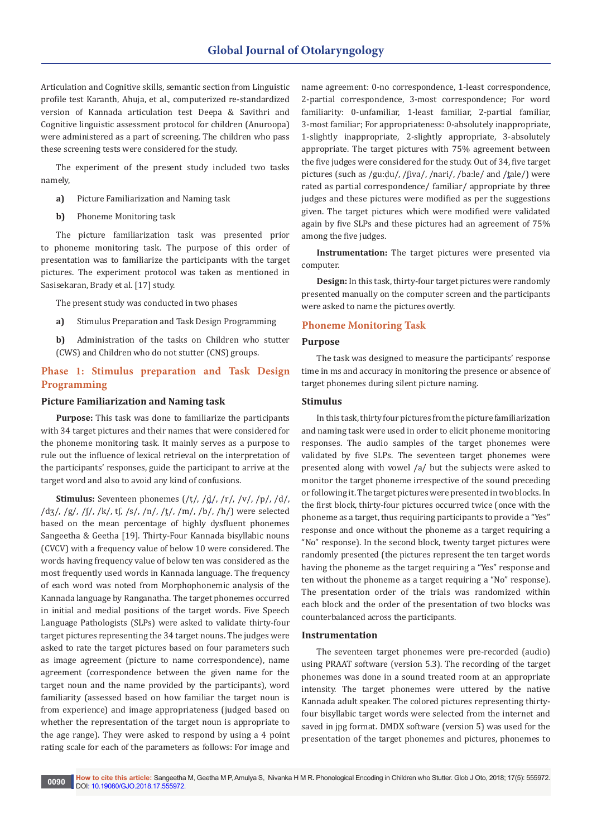Articulation and Cognitive skills, semantic section from Linguistic profile test Karanth, Ahuja, et al., computerized re-standardized version of Kannada articulation test Deepa & Savithri and Cognitive linguistic assessment protocol for children (Anuroopa) were administered as a part of screening. The children who pass these screening tests were considered for the study.

The experiment of the present study included two tasks namely,

- **a)** Picture Familiarization and Naming task
- **b)** Phoneme Monitoring task

The picture familiarization task was presented prior to phoneme monitoring task. The purpose of this order of presentation was to familiarize the participants with the target pictures. The experiment protocol was taken as mentioned in Sasisekaran, Brady et al. [17] study.

The present study was conducted in two phases

- **a)** Stimulus Preparation and Task Design Programming
- **b)** Administration of the tasks on Children who stutter (CWS) and Children who do not stutter (CNS) groups.

# **Phase 1: Stimulus preparation and Task Design Programming**

### **Picture Familiarization and Naming task**

**Purpose:** This task was done to familiarize the participants with 34 target pictures and their names that were considered for the phoneme monitoring task. It mainly serves as a purpose to rule out the influence of lexical retrieval on the interpretation of the participants' responses, guide the participant to arrive at the target word and also to avoid any kind of confusions.

**Stimulus:** Seventeen phonemes (/ṭ/, /d̪/, /r/, /v/, /p/, /ḍ/, /d[ʒ](https://en.wikipedia.org/wiki/Voiced_palato-alveolar_sibilant)/, /g/, /[ʃ](https://en.wikipedia.org/wiki/Voiceless_palato-alveolar_sibilant)/, /k/, t[ʃ](https://en.wikipedia.org/wiki/Voiceless_palato-alveolar_sibilant), /s/, /n/, /t̪/, /m/, /b/, /h/) were selected based on the mean percentage of highly dysfluent phonemes Sangeetha & Geetha [19]. Thirty-Four Kannada bisyllabic nouns (CVCV) with a frequency value of below 10 were considered. The words having frequency value of below ten was considered as the most frequently used words in Kannada language. The frequency of each word was noted from Morphophonemic analysis of the Kannada language by Ranganatha. The target phonemes occurred in initial and medial positions of the target words. Five Speech Language Pathologists (SLPs) were asked to validate thirty-four target pictures representing the 34 target nouns. The judges were asked to rate the target pictures based on four parameters such as image agreement (picture to name correspondence), name agreement (correspondence between the given name for the target noun and the name provided by the participants), word familiarity (assessed based on how familiar the target noun is from experience) and image appropriateness (judged based on whether the representation of the target noun is appropriate to the age range). They were asked to respond by using a 4 point rating scale for each of the parameters as follows: For image and

name agreement: 0-no correspondence, 1-least correspondence, 2-partial correspondence, 3-most correspondence; For word familiarity: 0-unfamiliar, 1-least familiar, 2-partial familiar, 3-most familiar; For appropriateness: 0-absolutely inappropriate, 1-slightly inappropriate, 2-slightly appropriate, 3-absolutely appropriate. The target pictures with 75% agreement between the five judges were considered for the study. Out of 34, five target pic[t](https://en.wikipedia.org/wiki/Voiceless_dental_and_alveolar_stops)ures (such as /gu:du/, /fiva/, /nari/, /ba:le/ and /t̪ale/) were rated as partial correspondence/ familiar/ appropriate by three judges and these pictures were modified as per the suggestions given. The target pictures which were modified were validated again by five SLPs and these pictures had an agreement of 75% among the five judges.

**Instrumentation:** The target pictures were presented via computer.

**Design:** In this task, thirty-four target pictures were randomly presented manually on the computer screen and the participants were asked to name the pictures overtly.

### **Phoneme Monitoring Task**

### **Purpose**

The task was designed to measure the participants' response time in ms and accuracy in monitoring the presence or absence of target phonemes during silent picture naming.

## **Stimulus**

In this task, thirty four pictures from the picture familiarization and naming task were used in order to elicit phoneme monitoring responses. The audio samples of the target phonemes were validated by five SLPs. The seventeen target phonemes were presented along with vowel /a/ but the subjects were asked to monitor the target phoneme irrespective of the sound preceding or following it. The target pictures were presented in two blocks. In the first block, thirty-four pictures occurred twice (once with the phoneme as a target, thus requiring participants to provide a "Yes" response and once without the phoneme as a target requiring a "No" response). In the second block, twenty target pictures were randomly presented (the pictures represent the ten target words having the phoneme as the target requiring a "Yes" response and ten without the phoneme as a target requiring a "No" response). The presentation order of the trials was randomized within each block and the order of the presentation of two blocks was counterbalanced across the participants.

#### **Instrumentation**

The seventeen target phonemes were pre-recorded (audio) using PRAAT software (version 5.3). The recording of the target phonemes was done in a sound treated room at an appropriate intensity. The target phonemes were uttered by the native Kannada adult speaker. The colored pictures representing thirtyfour bisyllabic target words were selected from the internet and saved in jpg format. DMDX software (version 5) was used for the presentation of the target phonemes and pictures, phonemes to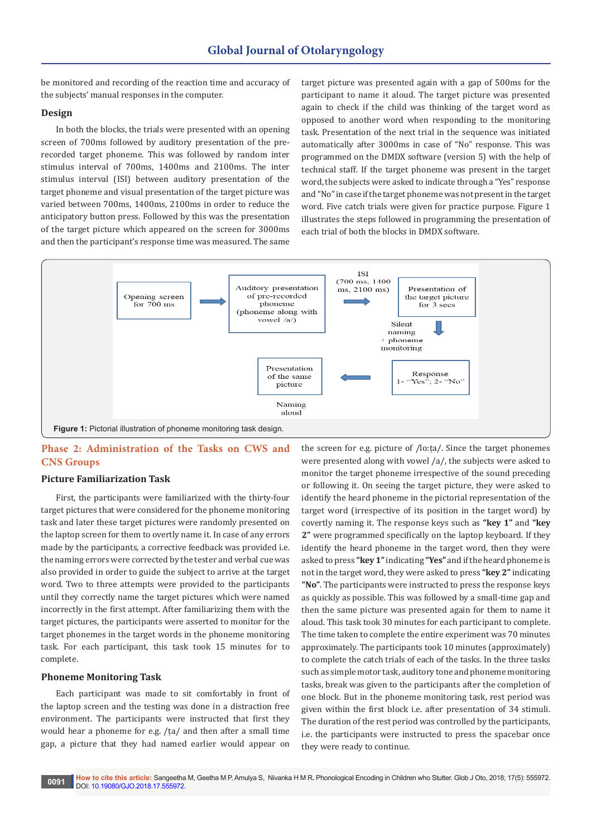be monitored and recording of the reaction time and accuracy of the subjects' manual responses in the computer.

## **Design**

In both the blocks, the trials were presented with an opening screen of 700ms followed by auditory presentation of the prerecorded target phoneme. This was followed by random inter stimulus interval of 700ms, 1400ms and 2100ms. The inter stimulus interval (ISI) between auditory presentation of the target phoneme and visual presentation of the target picture was varied between 700ms, 1400ms, 2100ms in order to reduce the anticipatory button press. Followed by this was the presentation of the target picture which appeared on the screen for 3000ms and then the participant's response time was measured. The same

target picture was presented again with a gap of 500ms for the participant to name it aloud. The target picture was presented again to check if the child was thinking of the target word as opposed to another word when responding to the monitoring task. Presentation of the next trial in the sequence was initiated automatically after 3000ms in case of "No" response. This was programmed on the DMDX software (version 5) with the help of technical staff. If the target phoneme was present in the target word, the subjects were asked to indicate through a "Yes" response and "No" in case if the target phoneme was not present in the target word. Five catch trials were given for practice purpose. Figure 1 illustrates the steps followed in programming the presentation of each trial of both the blocks in DMDX software.



# **Phase 2: Administration of the Tasks on CWS and CNS Groups**

### **Picture Familiarization Task**

First, the participants were familiarized with the thirty-four target pictures that were considered for the phoneme monitoring task and later these target pictures were randomly presented on the laptop screen for them to overtly name it. In case of any errors made by the participants, a corrective feedback was provided i.e. the naming errors were corrected by the tester and verbal cue was also provided in order to guide the subject to arrive at the target word. Two to three attempts were provided to the participants until they correctly name the target pictures which were named incorrectly in the first attempt. After familiarizing them with the target pictures, the participants were asserted to monitor for the target phonemes in the target words in the phoneme monitoring task. For each participant, this task took 15 minutes for to complete.

### **Phoneme Monitoring Task**

Each participant was made to sit comfortably in front of the laptop screen and the testing was done in a distraction free environment. The participants were instructed that first they would hear a phoneme for e.g. /ṭa/ and then after a small time gap, a picture that they had named earlier would appear on

the screen for e.g. picture of /lo:ṭa/. Since the target phonemes were presented along with vowel /a/, the subjects were asked to monitor the target phoneme irrespective of the sound preceding or following it. On seeing the target picture, they were asked to identify the heard phoneme in the pictorial representation of the target word (irrespective of its position in the target word) by covertly naming it. The response keys such as **"key 1"** and **"key 2"** were programmed specifically on the laptop keyboard. If they identify the heard phoneme in the target word, then they were asked to press **"key 1"** indicating **"Yes"** and if the heard phoneme is not in the target word, they were asked to press **"key 2"** indicating **"No"**. The participants were instructed to press the response keys as quickly as possible. This was followed by a small-time gap and then the same picture was presented again for them to name it aloud. This task took 30 minutes for each participant to complete. The time taken to complete the entire experiment was 70 minutes approximately. The participants took 10 minutes (approximately) to complete the catch trials of each of the tasks. In the three tasks such as simple motor task, auditory tone and phoneme monitoring tasks, break was given to the participants after the completion of one block. But in the phoneme monitoring task, rest period was given within the first block i.e. after presentation of 34 stimuli. The duration of the rest period was controlled by the participants, i.e. the participants were instructed to press the spacebar once they were ready to continue.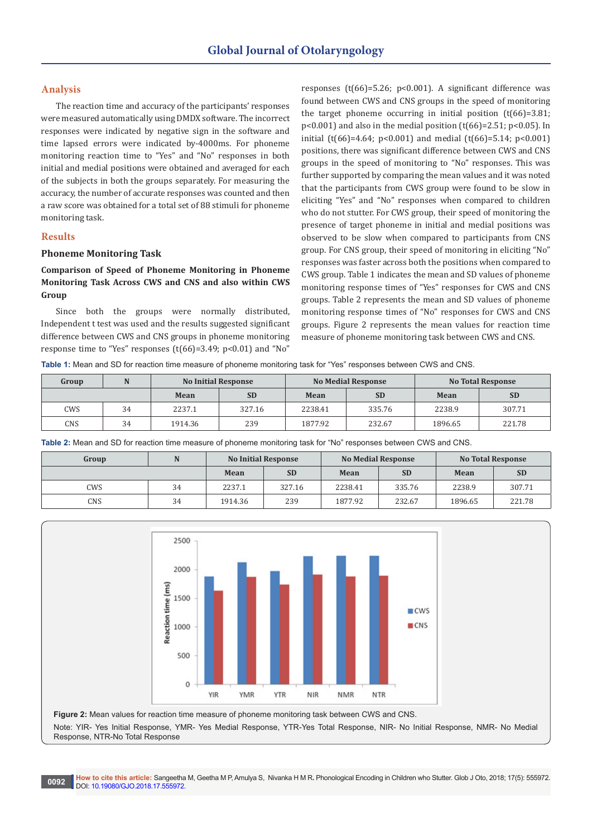# **Analysis**

The reaction time and accuracy of the participants' responses were measured automatically using DMDX software. The incorrect responses were indicated by negative sign in the software and time lapsed errors were indicated by-4000ms. For phoneme monitoring reaction time to "Yes" and "No" responses in both initial and medial positions were obtained and averaged for each of the subjects in both the groups separately. For measuring the accuracy, the number of accurate responses was counted and then a raw score was obtained for a total set of 88 stimuli for phoneme monitoring task.

### **Results**

### **Phoneme Monitoring Task**

# **Comparison of Speed of Phoneme Monitoring in Phoneme Monitoring Task Across CWS and CNS and also within CWS Group**

Since both the groups were normally distributed, Independent t test was used and the results suggested significant difference between CWS and CNS groups in phoneme monitoring response time to "Yes" responses (t(66)=3.49; p<0.01) and "No"

responses (t(66)=5.26; p<0.001). A significant difference was found between CWS and CNS groups in the speed of monitoring the target phoneme occurring in initial position  $(t(66)=3.81;$  $p<0.001$ ) and also in the medial position (t(66)=2.51;  $p<0.05$ ). In initial (t(66)=4.64; p<0.001) and medial (t(66)=5.14; p<0.001) positions, there was significant difference between CWS and CNS groups in the speed of monitoring to "No" responses. This was further supported by comparing the mean values and it was noted that the participants from CWS group were found to be slow in eliciting "Yes" and "No" responses when compared to children who do not stutter. For CWS group, their speed of monitoring the presence of target phoneme in initial and medial positions was observed to be slow when compared to participants from CNS group. For CNS group, their speed of monitoring in eliciting "No" responses was faster across both the positions when compared to CWS group. Table 1 indicates the mean and SD values of phoneme monitoring response times of "Yes" responses for CWS and CNS groups. Table 2 represents the mean and SD values of phoneme monitoring response times of "No" responses for CWS and CNS groups. Figure 2 represents the mean values for reaction time measure of phoneme monitoring task between CWS and CNS.

**Table 1:** Mean and SD for reaction time measure of phoneme monitoring task for "Yes" responses between CWS and CNS.

| Group |    | <b>No Initial Response</b> |           |         | <b>No Medial Response</b> | <b>No Total Response</b> |           |  |
|-------|----|----------------------------|-----------|---------|---------------------------|--------------------------|-----------|--|
|       |    | Mean                       | <b>SD</b> | Mean    | <b>SD</b>                 | Mean                     | <b>SD</b> |  |
| CWS   | 34 | 2237.1                     | 327.16    | 2238.41 | 335.76                    | 2238.9                   | 307.71    |  |
| CNS   | 34 | 1914.36                    | 239       | 1877.92 | 232.67                    | 1896.65                  | 221.78    |  |

**Table 2:** Mean and SD for reaction time measure of phoneme monitoring task for "No" responses between CWS and CNS.

| Group | N  | <b>No Initial Response</b> |           |         | <b>No Medial Response</b> | <b>No Total Response</b> |           |  |
|-------|----|----------------------------|-----------|---------|---------------------------|--------------------------|-----------|--|
|       |    | Mean                       | <b>SD</b> | Mean    | <b>SD</b>                 | Mean                     | <b>SD</b> |  |
| CWS   | 34 | 2237.1                     | 327.16    | 2238.41 | 335.76                    | 2238.9                   | 307.71    |  |
| CNS   | 34 | 1914.36                    | 239       | 1877.92 | 232.67                    | 1896.65                  | 221.78    |  |



**Figure 2:** Mean values for reaction time measure of phoneme monitoring task between CWS and CNS. Note: YIR- Yes Initial Response, YMR- Yes Medial Response, YTR-Yes Total Response, NIR- No Initial Response, NMR- No Medial Response, NTR-No Total Response

**0092 How to cite this article:** Sangeetha M, Geetha M P, Amulya S, Nivanka H M R**.** Phonological Encoding in Children who Stutter. Glob J Oto, 2018; 17(5): 555972. DOI: [10.19080/GJO.2018.17.555972](http://dx.doi.org/10.19080/GJO.2018.17.555972)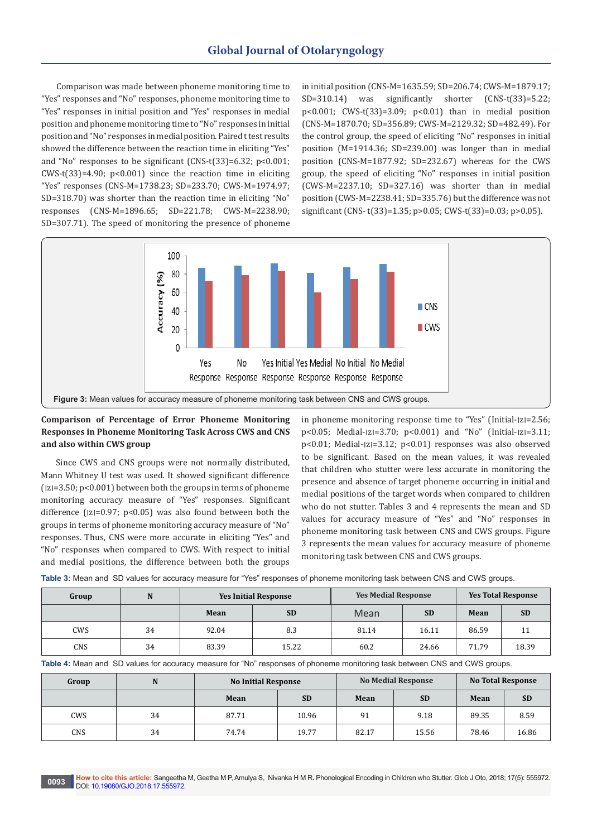Comparison was made between phoneme monitoring time to "Yes" responses and "No" responses, phoneme monitoring time to "Yes" responses in initial position and "Yes" responses in medial position and phoneme monitoring time to "No" responses in initial position and "No" responses in medial position. Paired t test results showed the difference between the reaction time in eliciting "Yes" and "No" responses to be significant (CNS-t(33)=6.32; p<0.001;  $CWS-t[33]=4.90$ ;  $p<0.001$  since the reaction time in eliciting "Yes" responses (CNS-M=1738.23; SD=233.70; CWS-M=1974.97; SD=318.70) was shorter than the reaction time in eliciting "No" responses (CNS-M=1896.65; SD=221.78; CWS-M=2238.90; SD=307.71). The speed of monitoring the presence of phoneme

in initial position (CNS-M=1635.59; SD=206.74; CWS-M=1879.17; SD=310.14) was significantly shorter (CNS-t(33)=5.22; p<0.001; CWS-t(33)=3.09; p<0.01) than in medial position (CNS-M=1870.70; SD=356.89; CWS-M=2129.32; SD=482.49). For the control group, the speed of eliciting "No" responses in initial position (M=1914.36; SD=239.00) was longer than in medial position (CNS-M=1877.92; SD=232.67) whereas for the CWS group, the speed of eliciting "No" responses in initial position (CWS-M=2237.10; SD=327.16) was shorter than in medial position (CWS-M=2238.41; SD=335.76) but the difference was not significant (CNS- t(33)=1.35; p>0.05; CWS-t(33)=0.03; p>0.05).



# **Comparison of Percentage of Error Phoneme Monitoring Responses in Phoneme Monitoring Task Across CWS and CNS and also within CWS group**

Since CWS and CNS groups were not normally distributed, Mann Whitney U test was used. It showed significant difference  $(z=3.50; p<0.001)$  between both the groups in terms of phoneme monitoring accuracy measure of "Yes" responses. Significant difference ( $|z|=0.97$ ;  $p<0.05$ ) was also found between both the groups in terms of phoneme monitoring accuracy measure of "No" responses. Thus, CNS were more accurate in eliciting "Yes" and "No" responses when compared to CWS. With respect to initial and medial positions, the difference between both the groups

in phoneme monitoring response time to "Yes" (Initial- $|z|=2.56$ ;  $p<0.05$ ; Medial- $|z|=3.70$ ;  $p<0.001$  and "No" (Initial- $|z|=3.11$ ;  $p<0.01$ ; Medial- $|z|=3.12$ ;  $p<0.01$ ) responses was also observed to be significant. Based on the mean values, it was revealed that children who stutter were less accurate in monitoring the presence and absence of target phoneme occurring in initial and medial positions of the target words when compared to children who do not stutter. Tables 3 and 4 represents the mean and SD values for accuracy measure of "Yes" and "No" responses in phoneme monitoring task between CNS and CWS groups. Figure 3 represents the mean values for accuracy measure of phoneme monitoring task between CNS and CWS groups.

|  |  |  |  |  |  |  |  | Table 3: Mean and SD values for accuracy measure for "Yes" responses of phoneme monitoring task between CNS and CWS groups. |  |  |  |  |  |  |  |  |
|--|--|--|--|--|--|--|--|-----------------------------------------------------------------------------------------------------------------------------|--|--|--|--|--|--|--|--|
|--|--|--|--|--|--|--|--|-----------------------------------------------------------------------------------------------------------------------------|--|--|--|--|--|--|--|--|

| Group      | N  | <b>Yes Initial Response</b> |           | <b>Yes Medial Response</b> |           |       | <b>Yes Total Response</b> |
|------------|----|-----------------------------|-----------|----------------------------|-----------|-------|---------------------------|
|            |    | Mean                        | <b>SD</b> | Mean                       | <b>SD</b> | Mean  | <b>SD</b>                 |
| <b>CWS</b> | 34 | 92.04                       | 8.3       | 81.14                      | 16.11     | 86.59 |                           |
| CNS        | 34 | 83.39                       | 15.22     | 60.2                       | 24.66     | 71.79 | 18.39                     |

**Table 4:** Mean and SD values for accuracy measure for "No" responses of phoneme monitoring task between CNS and CWS groups.

| Group | N  | <b>No Initial Response</b> |           |       | <b>No Medial Response</b> | <b>No Total Response</b> |           |  |
|-------|----|----------------------------|-----------|-------|---------------------------|--------------------------|-----------|--|
|       |    | Mean                       | <b>SD</b> |       | <b>SD</b>                 | Mean                     | <b>SD</b> |  |
| CWS   | 34 | 87.71                      | 10.96     | 91    | 9.18                      | 89.35                    | 8.59      |  |
| CNS   | 34 | 74.74                      | 19.77     | 82.17 | 15.56                     | 78.46                    | 16.86     |  |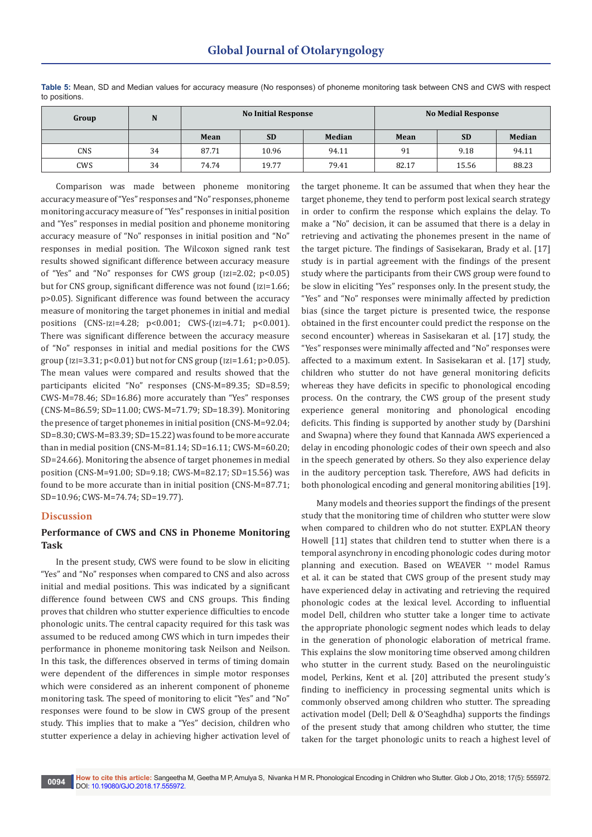| Group | N  | <b>No Medial Response</b><br><b>No Initial Response</b> |           |               |       |           |               |
|-------|----|---------------------------------------------------------|-----------|---------------|-------|-----------|---------------|
|       |    | Mean                                                    | <b>SD</b> | <b>Median</b> | Mean  | <b>SD</b> | <b>Median</b> |
| CNS   | 34 | 87.71                                                   | 10.96     | 94.11         | 91    | 9.18      | 94.11         |
| CWS   | 34 | 74.74                                                   | 19.77     | 79.41         | 82.17 | 15.56     | 88.23         |

**Table 5:** Mean, SD and Median values for accuracy measure (No responses) of phoneme monitoring task between CNS and CWS with respect to positions.

Comparison was made between phoneme monitoring accuracy measure of "Yes" responses and "No" responses, phoneme monitoring accuracy measure of "Yes" responses in initial position and "Yes" responses in medial position and phoneme monitoring accuracy measure of "No" responses in initial position and "No" responses in medial position. The Wilcoxon signed rank test results showed significant difference between accuracy measure of "Yes" and "No" responses for CWS group  $(|z|=2.02; p<0.05)$ but for CNS group, significant difference was not found ( $|z|=1.66$ ; p>0.05). Significant difference was found between the accuracy measure of monitoring the target phonemes in initial and medial positions  $(CNS-|z|=4.28; p<0.001; CWS-(|z|=4.71; p<0.001).$ There was significant difference between the accuracy measure of "No" responses in initial and medial positions for the CWS group ( $|z|=3.31$ ;  $p<0.01$ ) but not for CNS group ( $|z|=1.61$ ;  $p>0.05$ ). The mean values were compared and results showed that the participants elicited "No" responses (CNS-M=89.35; SD=8.59; CWS-M=78.46; SD=16.86) more accurately than "Yes" responses (CNS-M=86.59; SD=11.00; CWS-M=71.79; SD=18.39). Monitoring the presence of target phonemes in initial position (CNS-M=92.04; SD=8.30; CWS-M=83.39; SD=15.22) was found to be more accurate than in medial position (CNS-M=81.14; SD=16.11; CWS-M=60.20; SD=24.66). Monitoring the absence of target phonemes in medial position (CNS-M=91.00; SD=9.18; CWS-M=82.17; SD=15.56) was found to be more accurate than in initial position (CNS-M=87.71; SD=10.96; CWS-M=74.74; SD=19.77).

### **Discussion**

# **Performance of CWS and CNS in Phoneme Monitoring Task**

In the present study, CWS were found to be slow in eliciting "Yes" and "No" responses when compared to CNS and also across initial and medial positions. This was indicated by a significant difference found between CWS and CNS groups. This finding proves that children who stutter experience difficulties to encode phonologic units. The central capacity required for this task was assumed to be reduced among CWS which in turn impedes their performance in phoneme monitoring task Neilson and Neilson. In this task, the differences observed in terms of timing domain were dependent of the differences in simple motor responses which were considered as an inherent component of phoneme monitoring task. The speed of monitoring to elicit "Yes" and "No" responses were found to be slow in CWS group of the present study. This implies that to make a "Yes" decision, children who stutter experience a delay in achieving higher activation level of the target phoneme. It can be assumed that when they hear the target phoneme, they tend to perform post lexical search strategy in order to confirm the response which explains the delay. To make a "No" decision, it can be assumed that there is a delay in retrieving and activating the phonemes present in the name of the target picture. The findings of Sasisekaran, Brady et al. [17] study is in partial agreement with the findings of the present study where the participants from their CWS group were found to be slow in eliciting "Yes" responses only. In the present study, the "Yes" and "No" responses were minimally affected by prediction bias (since the target picture is presented twice, the response obtained in the first encounter could predict the response on the second encounter) whereas in Sasisekaran et al. [17] study, the "Yes" responses were minimally affected and "No" responses were affected to a maximum extent. In Sasisekaran et al. [17] study, children who stutter do not have general monitoring deficits whereas they have deficits in specific to phonological encoding process. On the contrary, the CWS group of the present study experience general monitoring and phonological encoding deficits. This finding is supported by another study by (Darshini and Swapna) where they found that Kannada AWS experienced a delay in encoding phonologic codes of their own speech and also in the speech generated by others. So they also experience delay in the auditory perception task. Therefore, AWS had deficits in both phonological encoding and general monitoring abilities [19].

Many models and theories support the findings of the present study that the monitoring time of children who stutter were slow when compared to children who do not stutter. EXPLAN theory Howell [11] states that children tend to stutter when there is a temporal asynchrony in encoding phonologic codes during motor planning and execution. Based on WEAVER <sup>++</sup> model Ramus et al. it can be stated that CWS group of the present study may have experienced delay in activating and retrieving the required phonologic codes at the lexical level. According to influential model Dell, children who stutter take a longer time to activate the appropriate phonologic segment nodes which leads to delay in the generation of phonologic elaboration of metrical frame. This explains the slow monitoring time observed among children who stutter in the current study. Based on the neurolinguistic model, Perkins, Kent et al. [20] attributed the present study's finding to inefficiency in processing segmental units which is commonly observed among children who stutter. The spreading activation model (Dell; Dell & O'Seaghdha) supports the findings of the present study that among children who stutter, the time taken for the target phonologic units to reach a highest level of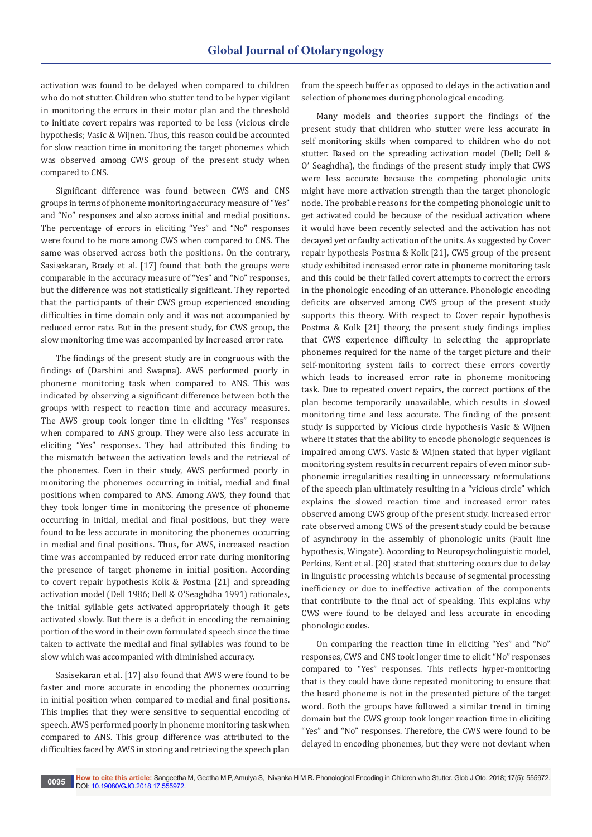activation was found to be delayed when compared to children who do not stutter. Children who stutter tend to be hyper vigilant in monitoring the errors in their motor plan and the threshold to initiate covert repairs was reported to be less (vicious circle hypothesis; Vasic & Wijnen. Thus, this reason could be accounted for slow reaction time in monitoring the target phonemes which was observed among CWS group of the present study when compared to CNS.

Significant difference was found between CWS and CNS groups in terms of phoneme monitoring accuracy measure of "Yes" and "No" responses and also across initial and medial positions. The percentage of errors in eliciting "Yes" and "No" responses were found to be more among CWS when compared to CNS. The same was observed across both the positions. On the contrary, Sasisekaran, Brady et al. [17] found that both the groups were comparable in the accuracy measure of "Yes" and "No" responses, but the difference was not statistically significant. They reported that the participants of their CWS group experienced encoding difficulties in time domain only and it was not accompanied by reduced error rate. But in the present study, for CWS group, the slow monitoring time was accompanied by increased error rate.

The findings of the present study are in congruous with the findings of (Darshini and Swapna). AWS performed poorly in phoneme monitoring task when compared to ANS. This was indicated by observing a significant difference between both the groups with respect to reaction time and accuracy measures. The AWS group took longer time in eliciting "Yes" responses when compared to ANS group. They were also less accurate in eliciting "Yes" responses. They had attributed this finding to the mismatch between the activation levels and the retrieval of the phonemes. Even in their study, AWS performed poorly in monitoring the phonemes occurring in initial, medial and final positions when compared to ANS. Among AWS, they found that they took longer time in monitoring the presence of phoneme occurring in initial, medial and final positions, but they were found to be less accurate in monitoring the phonemes occurring in medial and final positions. Thus, for AWS, increased reaction time was accompanied by reduced error rate during monitoring the presence of target phoneme in initial position. According to covert repair hypothesis Kolk & Postma [21] and spreading activation model (Dell 1986; Dell & O'Seaghdha 1991) rationales, the initial syllable gets activated appropriately though it gets activated slowly. But there is a deficit in encoding the remaining portion of the word in their own formulated speech since the time taken to activate the medial and final syllables was found to be slow which was accompanied with diminished accuracy.

Sasisekaran et al. [17] also found that AWS were found to be faster and more accurate in encoding the phonemes occurring in initial position when compared to medial and final positions. This implies that they were sensitive to sequential encoding of speech. AWS performed poorly in phoneme monitoring task when compared to ANS. This group difference was attributed to the difficulties faced by AWS in storing and retrieving the speech plan

from the speech buffer as opposed to delays in the activation and selection of phonemes during phonological encoding.

Many models and theories support the findings of the present study that children who stutter were less accurate in self monitoring skills when compared to children who do not stutter. Based on the spreading activation model (Dell; Dell & O' Seaghdha), the findings of the present study imply that CWS were less accurate because the competing phonologic units might have more activation strength than the target phonologic node. The probable reasons for the competing phonologic unit to get activated could be because of the residual activation where it would have been recently selected and the activation has not decayed yet or faulty activation of the units. As suggested by Cover repair hypothesis Postma & Kolk [21], CWS group of the present study exhibited increased error rate in phoneme monitoring task and this could be their failed covert attempts to correct the errors in the phonologic encoding of an utterance. Phonologic encoding deficits are observed among CWS group of the present study supports this theory. With respect to Cover repair hypothesis Postma & Kolk [21] theory, the present study findings implies that CWS experience difficulty in selecting the appropriate phonemes required for the name of the target picture and their self-monitoring system fails to correct these errors covertly which leads to increased error rate in phoneme monitoring task. Due to repeated covert repairs, the correct portions of the plan become temporarily unavailable, which results in slowed monitoring time and less accurate. The finding of the present study is supported by Vicious circle hypothesis Vasic & Wijnen where it states that the ability to encode phonologic sequences is impaired among CWS. Vasic & Wijnen stated that hyper vigilant monitoring system results in recurrent repairs of even minor subphonemic irregularities resulting in unnecessary reformulations of the speech plan ultimately resulting in a "vicious circle" which explains the slowed reaction time and increased error rates observed among CWS group of the present study. Increased error rate observed among CWS of the present study could be because of asynchrony in the assembly of phonologic units (Fault line hypothesis, Wingate). According to Neuropsycholinguistic model, Perkins, Kent et al. [20] stated that stuttering occurs due to delay in linguistic processing which is because of segmental processing inefficiency or due to ineffective activation of the components that contribute to the final act of speaking. This explains why CWS were found to be delayed and less accurate in encoding phonologic codes.

On comparing the reaction time in eliciting "Yes" and "No" responses, CWS and CNS took longer time to elicit "No" responses compared to "Yes" responses. This reflects hyper-monitoring that is they could have done repeated monitoring to ensure that the heard phoneme is not in the presented picture of the target word. Both the groups have followed a similar trend in timing domain but the CWS group took longer reaction time in eliciting "Yes" and "No" responses. Therefore, the CWS were found to be delayed in encoding phonemes, but they were not deviant when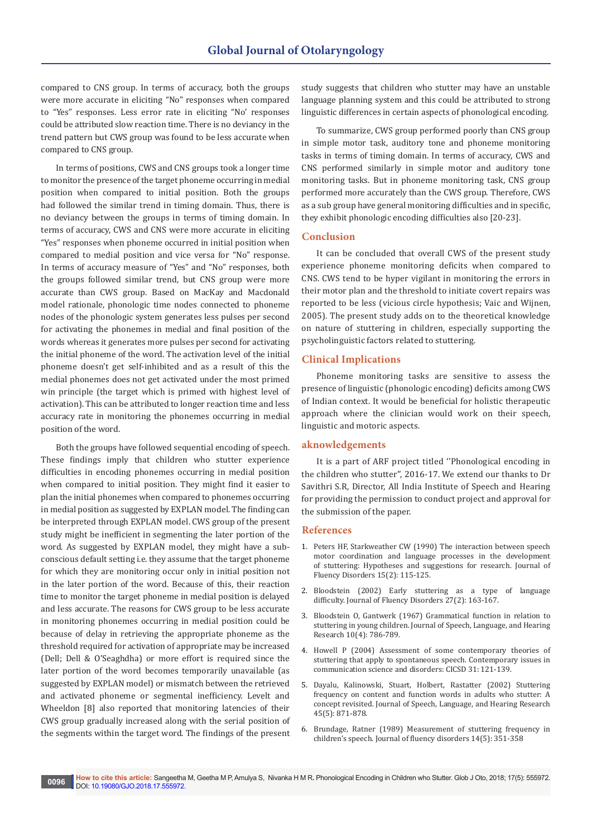compared to CNS group. In terms of accuracy, both the groups were more accurate in eliciting "No" responses when compared to "Yes" responses. Less error rate in eliciting "No' responses could be attributed slow reaction time. There is no deviancy in the trend pattern but CWS group was found to be less accurate when compared to CNS group.

In terms of positions, CWS and CNS groups took a longer time to monitor the presence of the target phoneme occurring in medial position when compared to initial position. Both the groups had followed the similar trend in timing domain. Thus, there is no deviancy between the groups in terms of timing domain. In terms of accuracy, CWS and CNS were more accurate in eliciting "Yes" responses when phoneme occurred in initial position when compared to medial position and vice versa for "No" response. In terms of accuracy measure of "Yes" and "No" responses, both the groups followed similar trend, but CNS group were more accurate than CWS group. Based on MacKay and Macdonald model rationale, phonologic time nodes connected to phoneme nodes of the phonologic system generates less pulses per second for activating the phonemes in medial and final position of the words whereas it generates more pulses per second for activating the initial phoneme of the word. The activation level of the initial phoneme doesn't get self-inhibited and as a result of this the medial phonemes does not get activated under the most primed win principle (the target which is primed with highest level of activation). This can be attributed to longer reaction time and less accuracy rate in monitoring the phonemes occurring in medial position of the word.

Both the groups have followed sequential encoding of speech. These findings imply that children who stutter experience difficulties in encoding phonemes occurring in medial position when compared to initial position. They might find it easier to plan the initial phonemes when compared to phonemes occurring in medial position as suggested by EXPLAN model. The finding can be interpreted through EXPLAN model. CWS group of the present study might be inefficient in segmenting the later portion of the word. As suggested by EXPLAN model, they might have a subconscious default setting i.e. they assume that the target phoneme for which they are monitoring occur only in initial position not in the later portion of the word. Because of this, their reaction time to monitor the target phoneme in medial position is delayed and less accurate. The reasons for CWS group to be less accurate in monitoring phonemes occurring in medial position could be because of delay in retrieving the appropriate phoneme as the threshold required for activation of appropriate may be increased (Dell; Dell & O'Seaghdha) or more effort is required since the later portion of the word becomes temporarily unavailable (as suggested by EXPLAN model) or mismatch between the retrieved and activated phoneme or segmental inefficiency. Levelt and Wheeldon [8] also reported that monitoring latencies of their CWS group gradually increased along with the serial position of the segments within the target word. The findings of the present study suggests that children who stutter may have an unstable language planning system and this could be attributed to strong linguistic differences in certain aspects of phonological encoding.

To summarize, CWS group performed poorly than CNS group in simple motor task, auditory tone and phoneme monitoring tasks in terms of timing domain. In terms of accuracy, CWS and CNS performed similarly in simple motor and auditory tone monitoring tasks. But in phoneme monitoring task, CNS group performed more accurately than the CWS group. Therefore, CWS as a sub group have general monitoring difficulties and in specific, they exhibit phonologic encoding difficulties also [20-23].

### **Conclusion**

It can be concluded that overall CWS of the present study experience phoneme monitoring deficits when compared to CNS. CWS tend to be hyper vigilant in monitoring the errors in their motor plan and the threshold to initiate covert repairs was reported to be less (vicious circle hypothesis; Vaic and Wijnen, 2005). The present study adds on to the theoretical knowledge on nature of stuttering in children, especially supporting the psycholinguistic factors related to stuttering.

### **Clinical Implications**

Phoneme monitoring tasks are sensitive to assess the presence of linguistic (phonologic encoding) deficits among CWS of Indian context. It would be beneficial for holistic therapeutic approach where the clinician would work on their speech, linguistic and motoric aspects.

#### **aknowledgements**

It is a part of ARF project titled ''Phonological encoding in the children who stutter'', 2016-17. We extend our thanks to Dr Savithri S.R, Director, All India Institute of Speech and Hearing for providing the permission to conduct project and approval for the submission of the paper.

### **References**

- 1. [Peters HF, Starkweather CW \(1990\) The interaction between speech](http://psycnet.apa.org/record/1990-28668-001)  [motor coordination and language processes in the development](http://psycnet.apa.org/record/1990-28668-001)  [of stuttering: Hypotheses and suggestions for research. Journal of](http://psycnet.apa.org/record/1990-28668-001)  [Fluency Disorders 15\(2\): 115-125.](http://psycnet.apa.org/record/1990-28668-001)
- 2. Bloodstein (2002) Early stuttering as a type of language difficulty. Journal of Fluency Disorders 27(2): 163-167.
- 3. [Bloodstein O, Gantwerk \(1967\) Grammatical function in relation to](https://jslhr.pubs.asha.org/article.aspx?articleid=1785771)  stuttering in young children. [Journal of Speech, Language, and Hearing](https://jslhr.pubs.asha.org/article.aspx?articleid=1785771)  [Research 10\(4\): 786-789.](https://jslhr.pubs.asha.org/article.aspx?articleid=1785771)
- 4. Howell P (2004) Assessment of some contemporary theories of stuttering that apply to spontaneous speech. Contemporary issues in communication science and disorders: CICSD 31: 121-139.
- 5. Dayalu, Kalinowski, Stuart, Holbert, Rastatter (2002) Stuttering frequency on content and function words in adults who stutter: A concept revisited. Journal of Speech, Language, and Hearing Research 45(5): 871-878.
- 6. Brundage, Ratner (1989) Measurement of stuttering frequency in children's speech. Journal of fluency disorders 14(5): 351-358